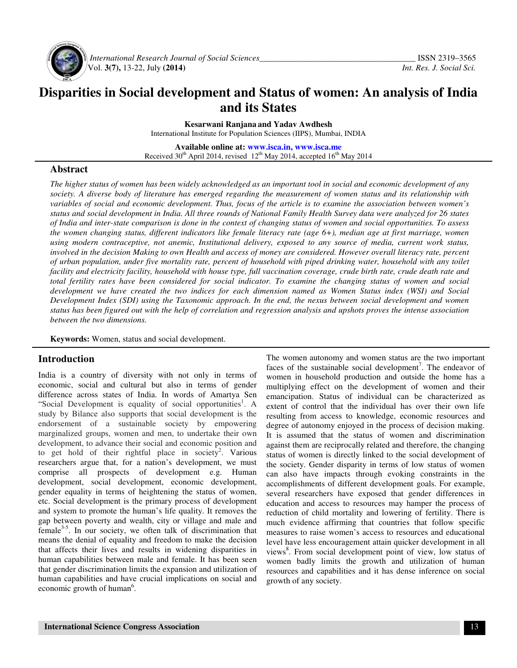

 *International Research Journal of Social Sciences\_\_\_\_\_\_\_\_\_\_\_\_\_\_\_\_\_\_\_\_\_\_\_\_\_\_\_\_\_\_\_\_\_\_\_\_\_* ISSN 2319–3565 Vol. **3(7),** 13-22, July **(2014)** *Int. Res. J. Social Sci.*

# **Disparities in Social development and Status of women: An analysis of India and its States**

**Kesarwani Ranjana and Yadav Awdhesh**

International Institute for Population Sciences (IIPS), Mumbai, INDIA

**Available online at: www.isca.in, www.isca.me** Received  $30^{th}$  April 2014, revised 12<sup>th</sup> May 2014, accepted  $16^{th}$  May 2014

## **Abstract**

*The higher status of women has been widely acknowledged as an important tool in social and economic development of any society. A diverse body of literature has emerged regarding the measurement of women status and its relationship with variables of social and economic development. Thus, focus of the article is to examine the association between women's status and social development in India. All three rounds of National Family Health Survey data were analyzed for 26 states of India and inter-state comparison is done in the context of changing status of women and social opportunities. To assess the women changing status, different indicators like female literacy rate (age 6+), median age at first marriage, women using modern contraceptive, not anemic, Institutional delivery, exposed to any source of media, current work status, involved in the decision Making to own Health and access of money are considered. However overall literacy rate, percent of urban population, under five mortality rate, percent of household with piped drinking water, household with any toilet facility and electricity facility, household with house type, full vaccination coverage, crude birth rate, crude death rate and*  total fertility rates have been considered for social indicator. To examine the changing status of women and social *development we have created the two indices for each dimension named as Women Status index (WSI) and Social Development Index (SDI) using the Taxonomic approach. In the end, the nexus between social development and women status has been figured out with the help of correlation and regression analysis and upshots proves the intense association between the two dimensions.* 

**Keywords:** Women, status and social development.

## **Introduction**

India is a country of diversity with not only in terms of economic, social and cultural but also in terms of gender difference across states of India. In words of Amartya Sen "Social Development is equality of social opportunities<sup>1</sup>. A study by Bilance also supports that social development is the endorsement of a sustainable society by empowering marginalized groups, women and men, to undertake their own development, to advance their social and economic position and to get hold of their rightful place in society<sup>2</sup>. Various researchers argue that, for a nation's development, we must comprise all prospects of development e.g. Human development, social development, economic development, gender equality in terms of heightening the status of women, etc. Social development is the primary process of development and system to promote the human's life quality. It removes the gap between poverty and wealth, city or village and male and female $3-5$ . In our society, we often talk of discrimination that means the denial of equality and freedom to make the decision that affects their lives and results in widening disparities in human capabilities between male and female. It has been seen that gender discrimination limits the expansion and utilization of human capabilities and have crucial implications on social and economic growth of human<sup>6</sup>.

The women autonomy and women status are the two important faces of the sustainable social development<sup>7</sup>. The endeavor of women in household production and outside the home has a multiplying effect on the development of women and their emancipation. Status of individual can be characterized as extent of control that the individual has over their own life resulting from access to knowledge, economic resources and degree of autonomy enjoyed in the process of decision making. It is assumed that the status of women and discrimination against them are reciprocally related and therefore, the changing status of women is directly linked to the social development of the society. Gender disparity in terms of low status of women can also have impacts through evoking constraints in the accomplishments of different development goals. For example, several researchers have exposed that gender differences in education and access to resources may hamper the process of reduction of child mortality and lowering of fertility. There is much evidence affirming that countries that follow specific measures to raise women's access to resources and educational level have less encouragement attain quicker development in all views<sup>8</sup>. From social development point of view, low status of women badly limits the growth and utilization of human resources and capabilities and it has dense inference on social growth of any society.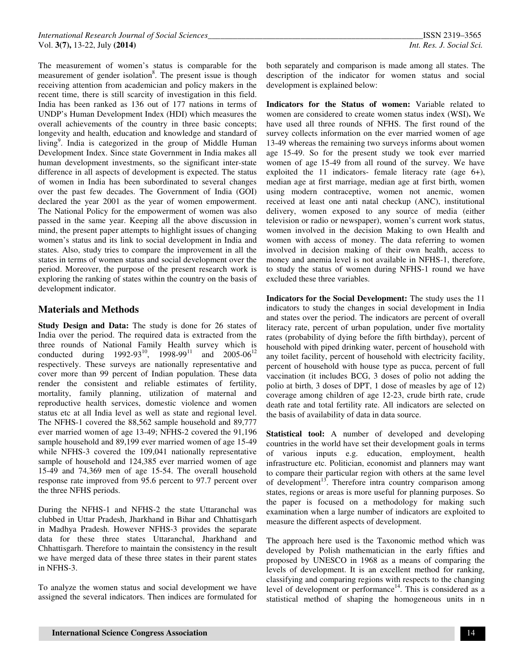The measurement of women's status is comparable for the measurement of gender isolation<sup>8</sup>. The present issue is though receiving attention from academician and policy makers in the recent time, there is still scarcity of investigation in this field. India has been ranked as 136 out of 177 nations in terms of UNDP's Human Development Index (HDI) which measures the overall achievements of the country in three basic concepts; longevity and health, education and knowledge and standard of living<sup>9</sup>. India is categorized in the group of Middle Human Development Index. Since state Government in India makes all human development investments, so the significant inter-state difference in all aspects of development is expected. The status of women in India has been subordinated to several changes over the past few decades. The Government of India (GOI) declared the year 2001 as the year of women empowerment. The National Policy for the empowerment of women was also passed in the same year. Keeping all the above discussion in mind, the present paper attempts to highlight issues of changing women's status and its link to social development in India and states. Also, study tries to compare the improvement in all the states in terms of women status and social development over the period. Moreover, the purpose of the present research work is exploring the ranking of states within the country on the basis of development indicator.

# **Materials and Methods**

**Study Design and Data:** The study is done for 26 states of India over the period. The required data is extracted from the three rounds of National Family Health survey which is conducted during  $1992-93^{10}$ ,  $1998-99^{11}$  and  $2005-06^{12}$ respectively. These surveys are nationally representative and cover more than 99 percent of Indian population. These data render the consistent and reliable estimates of fertility, mortality, family planning, utilization of maternal and reproductive health services, domestic violence and women status etc at all India level as well as state and regional level. The NFHS-1 covered the 88,562 sample household and 89,777 ever married women of age 13-49; NFHS-2 covered the 91,196 sample household and 89,199 ever married women of age 15-49 while NFHS-3 covered the 109,041 nationally representative sample of household and 124,385 ever married women of age 15-49 and 74,369 men of age 15-54. The overall household response rate improved from 95.6 percent to 97.7 percent over the three NFHS periods.

During the NFHS-1 and NFHS-2 the state Uttaranchal was clubbed in Uttar Pradesh, Jharkhand in Bihar and Chhattisgarh in Madhya Pradesh. However NFHS-3 provides the separate data for these three states Uttaranchal, Jharkhand and Chhattisgarh. Therefore to maintain the consistency in the result we have merged data of these three states in their parent states in NFHS-3.

To analyze the women status and social development we have assigned the several indicators. Then indices are formulated for both separately and comparison is made among all states. The description of the indicator for women status and social development is explained below:

**Indicators for the Status of women:** Variable related to women are considered to create women status index (WSI)**.** We have used all three rounds of NFHS. The first round of the survey collects information on the ever married women of age 13-49 whereas the remaining two surveys informs about women age 15-49. So for the present study we took ever married women of age 15-49 from all round of the survey. We have exploited the 11 indicators- female literacy rate (age 6+), median age at first marriage, median age at first birth, women using modern contraceptive, women not anemic, women received at least one anti natal checkup (ANC), institutional delivery, women exposed to any source of media (either television or radio or newspaper), women's current work status, women involved in the decision Making to own Health and women with access of money. The data referring to women involved in decision making of their own health, access to money and anemia level is not available in NFHS-1, therefore, to study the status of women during NFHS-1 round we have excluded these three variables.

**Indicators for the Social Development:** The study uses the 11 indicators to study the changes in social development in India and states over the period. The indicators are percent of overall literacy rate, percent of urban population, under five mortality rates (probability of dying before the fifth birthday), percent of household with piped drinking water, percent of household with any toilet facility, percent of household with electricity facility, percent of household with house type as pucca, percent of full vaccination (it includes BCG, 3 doses of polio not adding the polio at birth, 3 doses of DPT, 1 dose of measles by age of 12) coverage among children of age 12-23, crude birth rate, crude death rate and total fertility rate. All indicators are selected on the basis of availability of data in data source.

**Statistical tool:** A number of developed and developing countries in the world have set their development goals in terms of various inputs e.g. education, employment, health infrastructure etc. Politician, economist and planners may want to compare their particular region with others at the same level of development<sup>13</sup>. Therefore intra country comparison among states, regions or areas is more useful for planning purposes. So the paper is focused on a methodology for making such examination when a large number of indicators are exploited to measure the different aspects of development.

The approach here used is the Taxonomic method which was developed by Polish mathematician in the early fifties and proposed by UNESCO in 1968 as a means of comparing the levels of development. It is an excellent method for ranking, classifying and comparing regions with respects to the changing level of development or performance<sup>14</sup>. This is considered as a statistical method of shaping the homogeneous units in n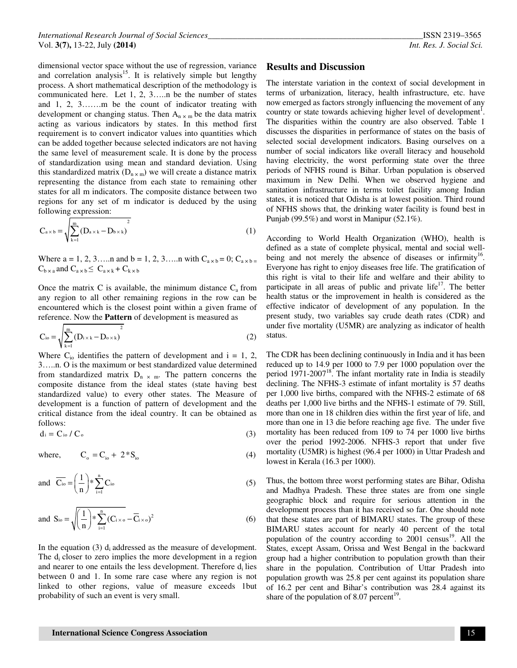dimensional vector space without the use of regression, variance and correlation analysis<sup>15</sup>. It is relatively simple but lengthy process. A short mathematical description of the methodology is communicated here. Let 1, 2, 3…..n be the number of states and 1, 2, 3…….m be the count of indicator treating with development or changing status. Then  $A_n \times m$  be the data matrix acting as various indicators by states. In this method first requirement is to convert indicator values into quantities which can be added together because selected indicators are not having the same level of measurement scale. It is done by the process of standardization using mean and standard deviation. Using this standardized matrix  $(D_{n \times m})$  we will create a distance matrix representing the distance from each state to remaining other states for all m indicators. The composite distance between two regions for any set of m indicator is deduced by the using following expression:

$$
C_{a \times b} = \sqrt{\sum_{k=1}^{m} (D_{a \times k} - D_{b \times k})^{2}}
$$
 (1)

Where  $a = 1, 2, 3, \dots$  and  $b = 1, 2, 3, \dots$  with  $C_{a \times b} = 0$ ;  $C_{a \times b} = 0$  $C_{b \times a}$  and  $C_{a \times b} \leq C_{a \times k} + C_{k \times b}$ 

Once the matrix C is available, the minimum distance  $C_a$  from any region to all other remaining regions in the row can be encountered which is the closest point within a given frame of reference. Now the **Pattern** of development is measured as

$$
C_{io} = \sqrt{\sum_{k=1}^{m} (D_{i \times k} - D_{o \times k})^{2}}
$$
 (2)

Where  $C_{i0}$  identifies the pattern of development and  $i = 1, 2,$ 3…..n. O is the maximum or best standardized value determined from standardized matrix  $D_n \times m$ . The pattern concerns the composite distance from the ideal states (state having best standardized value) to every other states. The Measure of development is a function of pattern of development and the critical distance from the ideal country. It can be obtained as follows:

$$
d_i = C_{io} / C_o \tag{3}
$$

where, 
$$
C_o = C_{io} + 2 * S_{io}
$$
 (4)

and 
$$
\overline{C_{io}} = \left(\frac{1}{n}\right) * \sum_{i=1}^{n} C_{io}
$$
 (5)

and 
$$
S_{io} = \sqrt{\left(\frac{1}{n}\right)^* \sum_{i=1}^n (C_{i \times o} - \overline{C}_{i \times o})^2}
$$
 (6)

In the equation (3)  $d_i$  addressed as the measure of development. The  $d_i$  closer to zero implies the more development in a region and nearer to one entails the less development. Therefore  $d_i$  lies between 0 and 1. In some rare case where any region is not linked to other regions, value of measure exceeds 1but probability of such an event is very small.

#### **Results and Discussion**

The interstate variation in the context of social development in terms of urbanization, literacy, health infrastructure, etc. have now emerged as factors strongly influencing the movement of any country or state towards achieving higher level of development<sup>1</sup>. The disparities within the country are also observed. Table 1 discusses the disparities in performance of states on the basis of selected social development indicators. Basing ourselves on a number of social indicators like overall literacy and household having electricity, the worst performing state over the three periods of NFHS round is Bihar. Urban population is observed maximum in New Delhi. When we observed hygiene and sanitation infrastructure in terms toilet facility among Indian states, it is noticed that Odisha is at lowest position. Third round of NFHS shows that, the drinking water facility is found best in Punjab (99.5%) and worst in Manipur (52.1%).

According to World Health Organization (WHO), health is defined as a state of complete physical, mental and social wellbeing and not merely the absence of diseases or infirmity<sup>16</sup>. Everyone has right to enjoy diseases free life. The gratification of this right is vital to their life and welfare and their ability to participate in all areas of public and private life $17$ . The better health status or the improvement in health is considered as the effective indicator of development of any population. In the present study, two variables say crude death rates (CDR) and under five mortality (U5MR) are analyzing as indicator of health status.

The CDR has been declining continuously in India and it has been reduced up to 14.9 per 1000 to 7.9 per 1000 population over the period 1971-2007<sup>18</sup>. The infant mortality rate in India is steadily declining. The NFHS-3 estimate of infant mortality is 57 deaths per 1,000 live births, compared with the NFHS-2 estimate of 68 deaths per 1,000 live births and the NFHS-1 estimate of 79. Still, more than one in 18 children dies within the first year of life, and more than one in 13 die before reaching age five. The under five mortality has been reduced from 109 to 74 per 1000 live births over the period 1992-2006. NFHS-3 report that under five mortality (U5MR) is highest (96.4 per 1000) in Uttar Pradesh and lowest in Kerala (16.3 per 1000).

Thus, the bottom three worst performing states are Bihar, Odisha and Madhya Pradesh. These three states are from one single geographic block and require for serious attention in the development process than it has received so far. One should note that these states are part of BIMARU states. The group of these BIMARU states account for nearly 40 percent of the total population of the country according to  $2001$  census<sup>19</sup>. All the States, except Assam, Orissa and West Bengal in the backward group had a higher contribution to population growth than their share in the population. Contribution of Uttar Pradesh into population growth was 25.8 per cent against its population share of 16.2 per cent and Bihar's contribution was 28.4 against its share of the population of 8.07 percent<sup>19</sup>.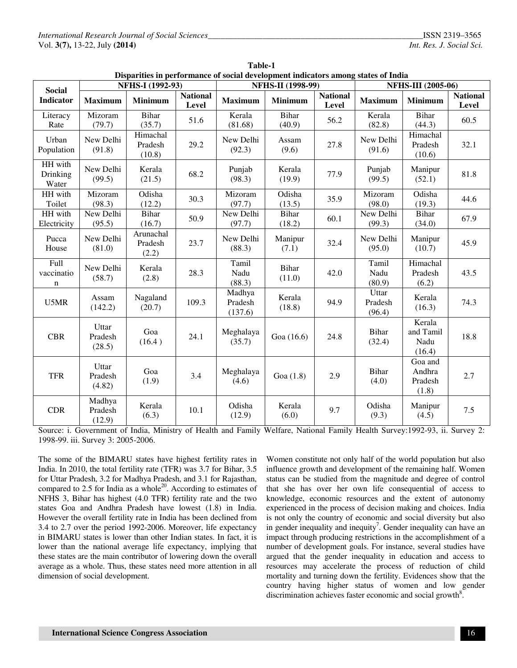|                                   |                             |                               |                          |                              |                          |                          | Disparities in performance of social development mulcators among states of filma<br><b>NFHS-III</b> (2005-06) |                                       |                          |  |
|-----------------------------------|-----------------------------|-------------------------------|--------------------------|------------------------------|--------------------------|--------------------------|---------------------------------------------------------------------------------------------------------------|---------------------------------------|--------------------------|--|
| <b>Social</b>                     |                             | NFHS-I (1992-93)              |                          |                              | <b>NFHS-II</b> (1998-99) |                          |                                                                                                               |                                       |                          |  |
| <b>Indicator</b>                  | <b>Maximum</b>              | <b>Minimum</b>                | <b>National</b><br>Level | <b>Maximum</b>               | <b>Minimum</b>           | <b>National</b><br>Level | <b>Maximum</b>                                                                                                | <b>Minimum</b>                        | <b>National</b><br>Level |  |
| Literacy<br>Rate                  | Mizoram<br>(79.7)           | Bihar<br>(35.7)               | 51.6                     | Kerala<br>(81.68)            | Bihar<br>(40.9)          | 56.2                     | Kerala<br>(82.8)                                                                                              | <b>Bihar</b><br>(44.3)                | 60.5                     |  |
| Urban<br>Population               | New Delhi<br>(91.8)         | Himachal<br>Pradesh<br>(10.8) | 29.2                     | New Delhi<br>(92.3)          | Assam<br>(9.6)           | 27.8                     | New Delhi<br>(91.6)                                                                                           | Himachal<br>Pradesh<br>(10.6)         | 32.1                     |  |
| HH with<br>Drinking<br>Water      | New Delhi<br>(99.5)         | Kerala<br>(21.5)              | 68.2                     | Punjab<br>(98.3)             | Kerala<br>(19.9)         | 77.9                     | Punjab<br>(99.5)                                                                                              | Manipur<br>(52.1)                     | 81.8                     |  |
| HH with<br>Toilet                 | Mizoram<br>(98.3)           | Odisha<br>(12.2)              | 30.3                     | Mizoram<br>(97.7)            | Odisha<br>(13.5)         | 35.9                     | Mizoram<br>(98.0)                                                                                             | Odisha<br>(19.3)                      | 44.6                     |  |
| HH with<br>Electricity            | New Delhi<br>(95.5)         | <b>Bihar</b><br>(16.7)        | 50.9                     | New Delhi<br>(97.7)          | Bihar<br>(18.2)          | 60.1                     | New Delhi<br>(99.3)                                                                                           | <b>Bihar</b><br>(34.0)                | 67.9                     |  |
| Pucca<br>House                    | New Delhi<br>(81.0)         | Arunachal<br>Pradesh<br>(2.2) | 23.7                     | New Delhi<br>(88.3)          | Manipur<br>(7.1)         | 32.4                     | New Delhi<br>(95.0)                                                                                           | Manipur<br>(10.7)                     | 45.9                     |  |
| Full<br>vaccinatio<br>$\mathbf n$ | New Delhi<br>(58.7)         | Kerala<br>(2.8)               | 28.3                     | Tamil<br>Nadu<br>(88.3)      | <b>Bihar</b><br>(11.0)   | 42.0                     | Tamil<br>Nadu<br>(80.9)                                                                                       | Himachal<br>Pradesh<br>(6.2)          | 43.5                     |  |
| U5MR                              | Assam<br>(142.2)            | Nagaland<br>(20.7)            | 109.3                    | Madhya<br>Pradesh<br>(137.6) | Kerala<br>(18.8)         | 94.9                     | Uttar<br>Pradesh<br>(96.4)                                                                                    | Kerala<br>(16.3)                      | 74.3                     |  |
| <b>CBR</b>                        | Uttar<br>Pradesh<br>(28.5)  | Goa<br>(16.4)                 | 24.1                     | Meghalaya<br>(35.7)          | Goa (16.6)               | 24.8                     | Bihar<br>(32.4)                                                                                               | Kerala<br>and Tamil<br>Nadu<br>(16.4) | 18.8                     |  |
| <b>TFR</b>                        | Uttar<br>Pradesh<br>(4.82)  | Goa<br>(1.9)                  | 3.4                      | Meghalaya<br>(4.6)           | Goa $(1.8)$              | 2.9                      | <b>Bihar</b><br>(4.0)                                                                                         | Goa and<br>Andhra<br>Pradesh<br>(1.8) | 2.7                      |  |
| <b>CDR</b>                        | Madhya<br>Pradesh<br>(12.9) | Kerala<br>(6.3)               | 10.1                     | Odisha<br>(12.9)             | Kerala<br>(6.0)          | 9.7                      | Odisha<br>(9.3)                                                                                               | Manipur<br>(4.5)                      | 7.5                      |  |

| <b>Table-1</b>                                                                    |  |
|-----------------------------------------------------------------------------------|--|
| Disparities in performance of social development indicators among states of India |  |

Source: i. Government of India, Ministry of Health and Family Welfare, National Family Health Survey:1992-93, ii. Survey 2: 1998-99. iii. Survey 3: 2005-2006.

The some of the BIMARU states have highest fertility rates in India. In 2010, the total fertility rate (TFR) was 3.7 for Bihar, 3.5 for Uttar Pradesh, 3.2 for Madhya Pradesh, and 3.1 for Rajasthan, compared to 2.5 for India as a whole<sup>20</sup>. According to estimates of NFHS 3, Bihar has highest (4.0 TFR) fertility rate and the two states Goa and Andhra Pradesh have lowest (1.8) in India. However the overall fertility rate in India has been declined from 3.4 to 2.7 over the period 1992-2006. Moreover, life expectancy in BIMARU states is lower than other Indian states. In fact, it is lower than the national average life expectancy, implying that these states are the main contributor of lowering down the overall average as a whole. Thus, these states need more attention in all dimension of social development.

Women constitute not only half of the world population but also influence growth and development of the remaining half. Women status can be studied from the magnitude and degree of control that she has over her own life consequential of access to knowledge, economic resources and the extent of autonomy experienced in the process of decision making and choices. India is not only the country of economic and social diversity but also in gender inequality and inequity<sup>7</sup>. Gender inequality can have an impact through producing restrictions in the accomplishment of a number of development goals. For instance, several studies have argued that the gender inequality in education and access to resources may accelerate the process of reduction of child mortality and turning down the fertility. Evidences show that the country having higher status of women and low gender discrimination achieves faster economic and social growth<sup>8</sup>.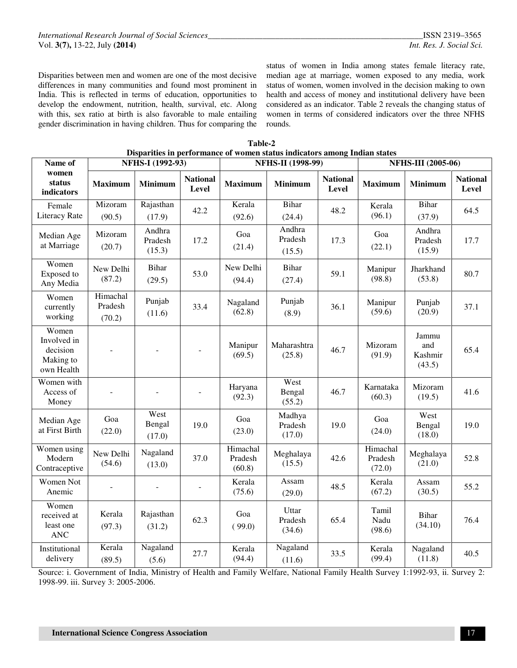Disparities between men and women are one of the most decisive differences in many communities and found most prominent in India. This is reflected in terms of education, opportunities to develop the endowment, nutrition, health, survival, etc. Along with this, sex ratio at birth is also favorable to male entailing gender discrimination in having children. Thus for comparing the

status of women in India among states female literacy rate, median age at marriage, women exposed to any media, work status of women, women involved in the decision making to own health and access of money and institutional delivery have been considered as an indicator. Table 2 reveals the changing status of women in terms of considered indicators over the three NFHS rounds.

| Disparities in performance of women status indicators among Indian states |                               |                             |                          |                               |                             |                           |                               |                                   |                          |  |  |
|---------------------------------------------------------------------------|-------------------------------|-----------------------------|--------------------------|-------------------------------|-----------------------------|---------------------------|-------------------------------|-----------------------------------|--------------------------|--|--|
| Name of                                                                   |                               | NFHS-I (1992-93)            |                          |                               | <b>NFHS-II</b> (1998-99)    | <b>NFHS-III (2005-06)</b> |                               |                                   |                          |  |  |
| women<br>status<br>indicators                                             | <b>Maximum</b>                | Minimum                     | <b>National</b><br>Level | <b>Maximum</b>                | Minimum                     | <b>National</b><br>Level  | <b>Maximum</b>                | <b>Minimum</b>                    | <b>National</b><br>Level |  |  |
| Female<br>Literacy Rate                                                   | Mizoram<br>(90.5)             | Rajasthan<br>(17.9)         | 42.2                     | Kerala<br>(92.6)              | Bihar<br>(24.4)             | 48.2                      | Kerala<br>(96.1)              | Bihar<br>(37.9)                   | 64.5                     |  |  |
| Median Age<br>at Marriage                                                 | Mizoram<br>(20.7)             | Andhra<br>Pradesh<br>(15.3) | 17.2                     | Goa<br>(21.4)                 | Andhra<br>Pradesh<br>(15.5) | 17.3                      | Goa<br>(22.1)                 | Andhra<br>Pradesh<br>(15.9)       | 17.7                     |  |  |
| Women<br>Exposed to<br>Any Media                                          | New Delhi<br>(87.2)           | <b>Bihar</b><br>(29.5)      | 53.0                     | New Delhi<br>(94.4)           | <b>Bihar</b><br>(27.4)      | 59.1                      | Manipur<br>(98.8)             | Jharkhand<br>(53.8)               | 80.7                     |  |  |
| Women<br>currently<br>working                                             | Himachal<br>Pradesh<br>(70.2) | Punjab<br>(11.6)            | 33.4                     | Nagaland<br>(62.8)            | Punjab<br>(8.9)             | 36.1                      | Manipur<br>(59.6)             | Punjab<br>(20.9)                  | 37.1                     |  |  |
| Women<br>Involved in<br>decision<br>Making to<br>own Health               |                               |                             |                          | Manipur<br>(69.5)             | Maharashtra<br>(25.8)       | 46.7                      | Mizoram<br>(91.9)             | Jammu<br>and<br>Kashmir<br>(43.5) | 65.4                     |  |  |
| Women with<br>Access of<br>Money                                          |                               |                             | ä,                       | Haryana<br>(92.3)             | West<br>Bengal<br>(55.2)    | 46.7                      | Karnataka<br>(60.3)           | Mizoram<br>(19.5)                 | 41.6                     |  |  |
| Median Age<br>at First Birth                                              | Goa<br>(22.0)                 | West<br>Bengal<br>(17.0)    | 19.0                     | Goa<br>(23.0)                 | Madhya<br>Pradesh<br>(17.0) | 19.0                      | Goa<br>(24.0)                 | West<br>Bengal<br>(18.0)          | 19.0                     |  |  |
| Women using<br>Modern<br>Contraceptive                                    | New Delhi<br>(54.6)           | Nagaland<br>(13.0)          | 37.0                     | Himachal<br>Pradesh<br>(60.8) | Meghalaya<br>(15.5)         | 42.6                      | Himachal<br>Pradesh<br>(72.0) | Meghalaya<br>(21.0)               | 52.8                     |  |  |
| Women Not<br>Anemic                                                       |                               |                             | L.                       | Kerala<br>(75.6)              | Assam<br>(29.0)             | 48.5                      | Kerala<br>(67.2)              | Assam<br>(30.5)                   | 55.2                     |  |  |
| Women<br>received at<br>least one<br><b>ANC</b>                           | Kerala<br>(97.3)              | Rajasthan<br>(31.2)         | 62.3                     | Goa<br>(99.0)                 | Uttar<br>Pradesh<br>(34.6)  | 65.4                      | Tamil<br>Nadu<br>(98.6)       | Bihar<br>(34.10)                  | 76.4                     |  |  |
| Institutional<br>delivery                                                 | Kerala<br>(89.5)              | Nagaland<br>(5.6)           | 27.7                     | Kerala<br>(94.4)              | Nagaland<br>(11.6)          | 33.5                      | Kerala<br>(99.4)              | Nagaland<br>(11.8)                | 40.5                     |  |  |

**Table-2** 

Source: i. Government of India, Ministry of Health and Family Welfare, National Family Health Survey 1:1992-93, ii. Survey 2: 1998-99. iii. Survey 3: 2005-2006.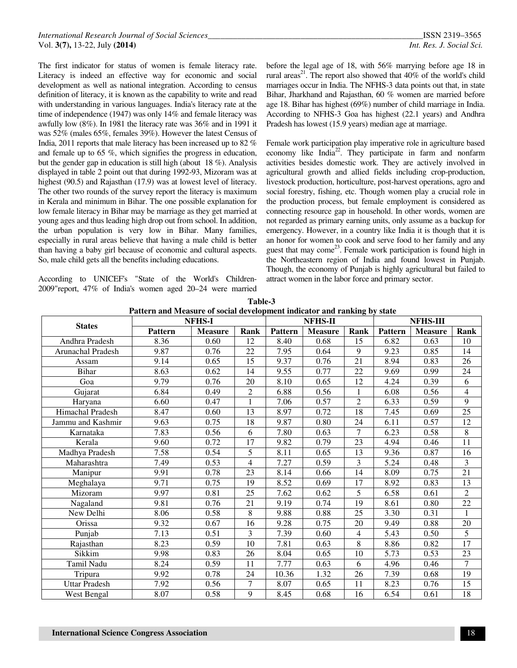The first indicator for status of women is female literacy rate. Literacy is indeed an effective way for economic and social development as well as national integration. According to census definition of literacy, it is known as the capability to write and read with understanding in various languages. India's literacy rate at the time of independence (1947) was only 14% and female literacy was awfully low (8%). In 1981 the literacy rate was 36% and in 1991 it was 52% (males 65%, females 39%). However the latest Census of India, 2011 reports that male literacy has been increased up to 82 % and female up to 65 %, which signifies the progress in education, but the gender gap in education is still high (about 18 %). Analysis displayed in table 2 point out that during 1992-93, Mizoram was at highest (90.5) and Rajasthan (17.9) was at lowest level of literacy. The other two rounds of the survey report the literacy is maximum in Kerala and minimum in Bihar. The one possible explanation for low female literacy in Bihar may be marriage as they get married at young ages and thus leading high drop out from school. In addition, the urban population is very low in Bihar. Many families, especially in rural areas believe that having a male child is better than having a baby girl because of economic and cultural aspects. So, male child gets all the benefits including educations.

According to UNICEF's "State of the World's Children-2009"report, 47% of India's women aged 20–24 were married

before the legal age of 18, with 56% marrying before age 18 in rural areas<sup>21</sup>. The report also showed that  $40\%$  of the world's child marriages occur in India. The NFHS-3 data points out that, in state Bihar, Jharkhand and Rajasthan, 60 % women are married before age 18. Bihar has highest (69%) number of child marriage in India. According to NFHS-3 Goa has highest (22.1 years) and Andhra Pradesh has lowest (15.9 years) median age at marriage.

Female work participation play imperative role in agriculture based economy like India<sup>22</sup>. They participate in farm and nonfarm activities besides domestic work. They are actively involved in agricultural growth and allied fields including crop-production, livestock production, horticulture, post-harvest operations, agro and social forestry, fishing, etc. Though women play a crucial role in the production process, but female employment is considered as connecting resource gap in household. In other words, women are not regarded as primary earning units, only assume as a backup for emergency. However, in a country like India it is though that it is an honor for women to cook and serve food to her family and any guest that may come<sup>23</sup>. Female work participation is found high in the Northeastern region of India and found lowest in Punjab. Though, the economy of Punjab is highly agricultural but failed to attract women in the labor force and primary sector.

| Pattern and Measure of social development mulcator and railking by state |                |                |                |                |                |                |                 |                |                |
|--------------------------------------------------------------------------|----------------|----------------|----------------|----------------|----------------|----------------|-----------------|----------------|----------------|
| <b>States</b>                                                            | <b>NFHS-I</b>  |                |                |                | <b>NFHS-II</b> |                | <b>NFHS-III</b> |                |                |
|                                                                          | <b>Pattern</b> | <b>Measure</b> | Rank           | <b>Pattern</b> | <b>Measure</b> | Rank           | <b>Pattern</b>  | <b>Measure</b> | Rank           |
| Andhra Pradesh                                                           | 8.36           | 0.60           | 12             | 8.40           | 0.68           | 15             | 6.82            | 0.63           | 10             |
| Arunachal Pradesh                                                        | 9.87           | 0.76           | 22             | 7.95           | 0.64           | 9              | 9.23            | 0.85           | 14             |
| Assam                                                                    | 9.14           | 0.65           | 15             | 9.37           | 0.76           | 21             | 8.94            | 0.83           | 26             |
| <b>Bihar</b>                                                             | 8.63           | 0.62           | 14             | 9.55           | 0.77           | 22             | 9.69            | 0.99           | 24             |
| Goa                                                                      | 9.79           | 0.76           | 20             | 8.10           | 0.65           | 12             | 4.24            | 0.39           | 6              |
| Gujarat                                                                  | 6.84           | 0.49           | $\overline{2}$ | 6.88           | 0.56           | 1              | 6.08            | 0.56           | 4              |
| Haryana                                                                  | 6.60           | 0.47           | 1              | 7.06           | 0.57           | $\overline{2}$ | 6.33            | 0.59           | 9              |
| Himachal Pradesh                                                         | 8.47           | 0.60           | 13             | 8.97           | 0.72           | 18             | 7.45            | 0.69           | 25             |
| Jammu and Kashmir                                                        | 9.63           | 0.75           | 18             | 9.87           | 0.80           | 24             | 6.11            | 0.57           | 12             |
| Karnataka                                                                | 7.83           | 0.56           | 6              | 7.80           | 0.63           | $\tau$         | 6.23            | 0.58           | 8              |
| Kerala                                                                   | 9.60           | 0.72           | 17             | 9.82           | 0.79           | 23             | 4.94            | 0.46           | 11             |
| Madhya Pradesh                                                           | 7.58           | 0.54           | 5              | 8.11           | 0.65           | 13             | 9.36            | 0.87           | 16             |
| Maharashtra                                                              | 7.49           | 0.53           | 4              | 7.27           | 0.59           | 3              | 5.24            | 0.48           | 3              |
| Manipur                                                                  | 9.91           | 0.78           | 23             | 8.14           | 0.66           | 14             | 8.09            | 0.75           | 21             |
| Meghalaya                                                                | 9.71           | 0.75           | 19             | 8.52           | 0.69           | 17             | 8.92            | 0.83           | 13             |
| Mizoram                                                                  | 9.97           | 0.81           | 25             | 7.62           | 0.62           | 5              | 6.58            | 0.61           | $\overline{2}$ |
| Nagaland                                                                 | 9.81           | 0.76           | 21             | 9.19           | 0.74           | 19             | 8.61            | 0.80           | 22             |
| New Delhi                                                                | 8.06           | 0.58           | 8              | 9.88           | 0.88           | 25             | 3.30            | 0.31           |                |
| Orissa                                                                   | 9.32           | 0.67           | 16             | 9.28           | 0.75           | 20             | 9.49            | 0.88           | 20             |
| Punjab                                                                   | 7.13           | 0.51           | 3              | 7.39           | 0.60           | $\overline{4}$ | 5.43            | 0.50           | 5              |
| Rajasthan                                                                | 8.23           | 0.59           | 10             | 7.81           | 0.63           | 8              | 8.86            | 0.82           | 17             |
| Sikkim                                                                   | 9.98           | 0.83           | 26             | 8.04           | 0.65           | 10             | 5.73            | 0.53           | 23             |
| Tamil Nadu                                                               | 8.24           | 0.59           | 11             | 7.77           | 0.63           | 6              | 4.96            | 0.46           | $\tau$         |
| Tripura                                                                  | 9.92           | 0.78           | 24             | 10.36          | 1.32           | 26             | 7.39            | 0.68           | 19             |
| <b>Uttar Pradesh</b>                                                     | 7.92           | 0.56           | $\overline{7}$ | 8.07           | 0.65           | 11             | 8.23            | 0.76           | 15             |
| West Bengal                                                              | 8.07           | 0.58           | 9              | 8.45           | 0.68           | 16             | 6.54            | 0.61           | 18             |

**Table-3 Pattern and Measure of social development indicator and ranking by state**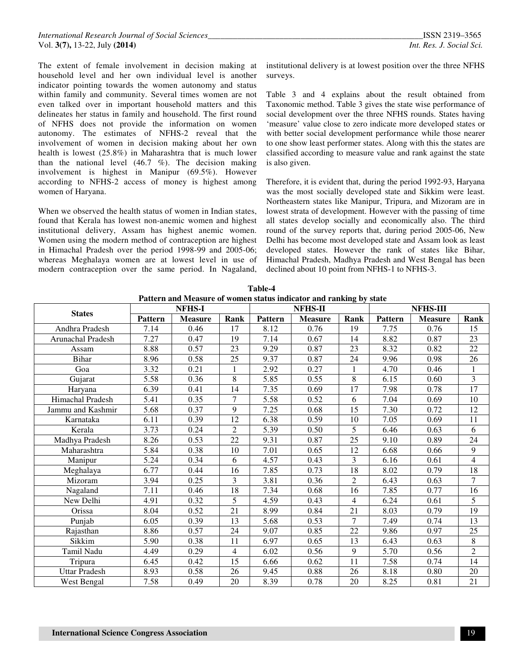The extent of female involvement in decision making at household level and her own individual level is another indicator pointing towards the women autonomy and status within family and community. Several times women are not even talked over in important household matters and this delineates her status in family and household. The first round of NFHS does not provide the information on women autonomy. The estimates of NFHS-2 reveal that the involvement of women in decision making about her own health is lowest (25.8%) in Maharashtra that is much lower than the national level  $(46.7 \, \%)$ . The decision making involvement is highest in Manipur (69.5%). However according to NFHS-2 access of money is highest among women of Haryana.

When we observed the health status of women in Indian states, found that Kerala has lowest non-anemic women and highest institutional delivery, Assam has highest anemic women. Women using the modern method of contraception are highest in Himachal Pradesh over the period 1998-99 and 2005-06; whereas Meghalaya women are at lowest level in use of modern contraception over the same period. In Nagaland,

institutional delivery is at lowest position over the three NFHS surveys.

Table 3 and 4 explains about the result obtained from Taxonomic method. Table 3 gives the state wise performance of social development over the three NFHS rounds. States having 'measure' value close to zero indicate more developed states or with better social development performance while those nearer to one show least performer states. Along with this the states are classified according to measure value and rank against the state is also given.

Therefore, it is evident that, during the period 1992-93, Haryana was the most socially developed state and Sikkim were least. Northeastern states like Manipur, Tripura, and Mizoram are in lowest strata of development. However with the passing of time all states develop socially and economically also. The third round of the survey reports that, during period 2005-06, New Delhi has become most developed state and Assam look as least developed states. However the rank of states like Bihar, Himachal Pradesh, Madhya Pradesh and West Bengal has been declined about 10 point from NFHS-1 to NFHS-3.

|                          | i anchi ang mtasart or women siangs multanor ang ramang by siale<br><b>NFHS-I</b> |                |                |         | NFHS-II        |                | <b>NFHS-III</b> |                |                |
|--------------------------|-----------------------------------------------------------------------------------|----------------|----------------|---------|----------------|----------------|-----------------|----------------|----------------|
| <b>States</b>            | <b>Pattern</b>                                                                    | <b>Measure</b> | Rank           | Pattern | <b>Measure</b> | Rank           | <b>Pattern</b>  | <b>Measure</b> | Rank           |
| Andhra Pradesh           | 7.14                                                                              | 0.46           | 17             | 8.12    | 0.76           | 19             | 7.75            | 0.76           | 15             |
| <b>Arunachal Pradesh</b> | 7.27                                                                              | 0.47           | 19             | 7.14    | 0.67           | 14             | 8.82            | 0.87           | 23             |
| Assam                    | 8.88                                                                              | 0.57           | 23             | 9.29    | 0.87           | 23             | 8.32            | 0.82           | 22             |
| <b>Bihar</b>             | 8.96                                                                              | 0.58           | 25             | 9.37    | 0.87           | 24             | 9.96            | 0.98           | 26             |
| Goa                      | 3.32                                                                              | 0.21           |                | 2.92    | 0.27           | $\mathbf{1}$   | 4.70            | 0.46           | $\mathbf{1}$   |
| Gujarat                  | 5.58                                                                              | 0.36           | 8              | 5.85    | 0.55           | 8              | 6.15            | 0.60           | 3              |
| Haryana                  | 6.39                                                                              | 0.41           | 14             | 7.35    | 0.69           | 17             | 7.98            | 0.78           | 17             |
| Himachal Pradesh         | 5.41                                                                              | 0.35           | $\overline{7}$ | 5.58    | 0.52           | 6              | 7.04            | 0.69           | 10             |
| Jammu and Kashmir        | 5.68                                                                              | 0.37           | 9              | 7.25    | 0.68           | 15             | 7.30            | 0.72           | 12             |
| Karnataka                | 6.11                                                                              | 0.39           | 12             | 6.38    | 0.59           | 10             | 7.05            | 0.69           | 11             |
| Kerala                   | 3.73                                                                              | 0.24           | $\overline{2}$ | 5.39    | 0.50           | 5              | 6.46            | 0.63           | 6              |
| Madhya Pradesh           | 8.26                                                                              | 0.53           | 22             | 9.31    | 0.87           | 25             | 9.10            | 0.89           | 24             |
| Maharashtra              | 5.84                                                                              | 0.38           | 10             | 7.01    | 0.65           | 12             | 6.68            | 0.66           | 9              |
| Manipur                  | 5.24                                                                              | 0.34           | 6              | 4.57    | 0.43           | 3              | 6.16            | 0.61           | $\overline{4}$ |
| Meghalaya                | 6.77                                                                              | 0.44           | 16             | 7.85    | 0.73           | 18             | 8.02            | 0.79           | 18             |
| Mizoram                  | 3.94                                                                              | 0.25           | $\overline{3}$ | 3.81    | 0.36           | $\overline{2}$ | 6.43            | 0.63           | 7              |
| Nagaland                 | 7.11                                                                              | 0.46           | 18             | 7.34    | 0.68           | 16             | 7.85            | 0.77           | 16             |
| New Delhi                | 4.91                                                                              | 0.32           | 5              | 4.59    | 0.43           | $\overline{4}$ | 6.24            | 0.61           | 5              |
| Orissa                   | 8.04                                                                              | 0.52           | 21             | 8.99    | 0.84           | 21             | 8.03            | 0.79           | 19             |
| Punjab                   | 6.05                                                                              | 0.39           | 13             | 5.68    | 0.53           | 7              | 7.49            | 0.74           | 13             |
| Rajasthan                | 8.86                                                                              | 0.57           | 24             | 9.07    | 0.85           | 22             | 9.86            | 0.97           | 25             |
| Sikkim                   | 5.90                                                                              | 0.38           | 11             | 6.97    | 0.65           | 13             | 6.43            | 0.63           | 8              |
| Tamil Nadu               | 4.49                                                                              | 0.29           | $\overline{4}$ | 6.02    | 0.56           | 9              | 5.70            | 0.56           | $\overline{2}$ |
| Tripura                  | 6.45                                                                              | 0.42           | 15             | 6.66    | 0.62           | 11             | 7.58            | 0.74           | 14             |
| <b>Uttar Pradesh</b>     | 8.93                                                                              | 0.58           | 26             | 9.45    | 0.88           | 26             | 8.18            | 0.80           | 20             |
| West Bengal              | 7.58                                                                              | 0.49           | 20             | 8.39    | 0.78           | 20             | 8.25            | 0.81           | 21             |

**Table-4 Pattern and Measure of women status indicator and ranking by state**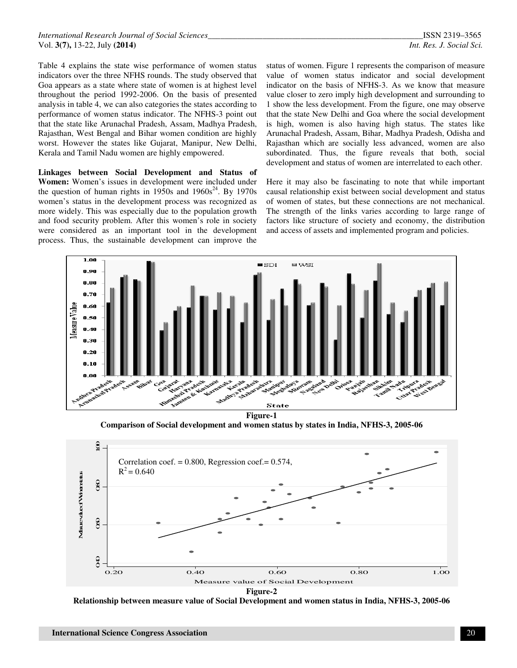Table 4 explains the state wise performance of women status indicators over the three NFHS rounds. The study observed that Goa appears as a state where state of women is at highest level throughout the period 1992-2006. On the basis of presented analysis in table 4, we can also categories the states according to performance of women status indicator. The NFHS-3 point out that the state like Arunachal Pradesh, Assam, Madhya Pradesh, Rajasthan, West Bengal and Bihar women condition are highly worst. However the states like Gujarat, Manipur, New Delhi, Kerala and Tamil Nadu women are highly empowered.

**Linkages between Social Development and Status of Women:** Women's issues in development were included under the question of human rights in  $1950s$  and  $1960s^{24}$ . By 1970s women's status in the development process was recognized as more widely. This was especially due to the population growth and food security problem. After this women's role in society were considered as an important tool in the development process. Thus, the sustainable development can improve the

status of women. Figure 1 represents the comparison of measure value of women status indicator and social development indicator on the basis of NFHS-3. As we know that measure value closer to zero imply high development and surrounding to 1 show the less development. From the figure, one may observe that the state New Delhi and Goa where the social development is high, women is also having high status. The states like Arunachal Pradesh, Assam, Bihar, Madhya Pradesh, Odisha and Rajasthan which are socially less advanced, women are also subordinated. Thus, the figure reveals that both, social development and status of women are interrelated to each other.

Here it may also be fascinating to note that while important causal relationship exist between social development and status of women of states, but these connections are not mechanical. The strength of the links varies according to large range of factors like structure of society and economy, the distribution and access of assets and implemented program and policies.



**Comparison of Social development and women status by states in India, NFHS-3, 2005-06** 

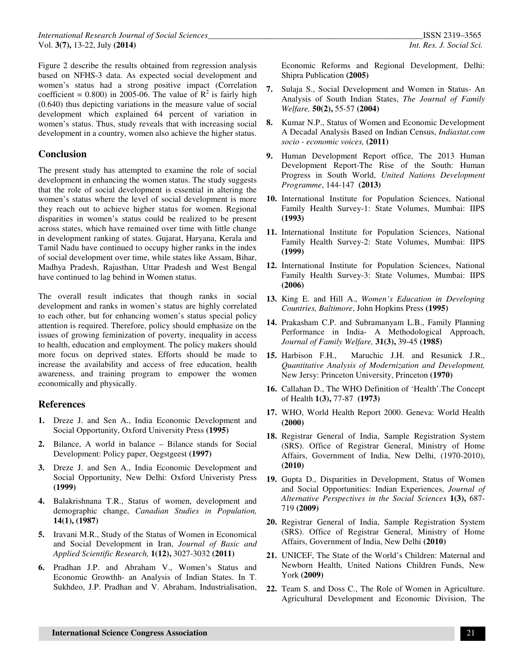Figure 2 describe the results obtained from regression analysis based on NFHS-3 data. As expected social development and women's status had a strong positive impact (Correlation coefficient =  $0.800$ ) in 2005-06. The value of  $\mathbb{R}^2$  is fairly high (0.640) thus depicting variations in the measure value of social development which explained 64 percent of variation in women's status. Thus, study reveals that with increasing social development in a country, women also achieve the higher status.

# **Conclusion**

The present study has attempted to examine the role of social development in enhancing the women status. The study suggests that the role of social development is essential in altering the women's status where the level of social development is more they reach out to achieve higher status for women. Regional disparities in women's status could be realized to be present across states, which have remained over time with little change in development ranking of states. Gujarat, Haryana, Kerala and Tamil Nadu have continued to occupy higher ranks in the index of social development over time, while states like Assam, Bihar, Madhya Pradesh, Rajasthan, Uttar Pradesh and West Bengal have continued to lag behind in Women status.

The overall result indicates that though ranks in social development and ranks in women's status are highly correlated to each other, but for enhancing women's status special policy attention is required. Therefore, policy should emphasize on the issues of growing feminization of poverty, inequality in access to health, education and employment. The policy makers should more focus on deprived states. Efforts should be made to increase the availability and access of free education, health awareness, and training program to empower the women economically and physically.

## **References**

- **1.** Dreze J. and Sen A., India Economic Development and Social Opportunity, Oxford University Press **(1995)**
- **2.** Bilance, A world in balance Bilance stands for Social Development: Policy paper, Oegstgeest **(1997)**
- **3.** Dreze J. and Sen A., India Economic Development and Social Opportunity, New Delhi: Oxford Univeristy Press **(1999)**
- **4.** Balakrishnana T.R., Status of women, development and demographic change, *Canadian Studies in Population,* **14(1), (1987)**
- **5.** Iravani M.R., Study of the Status of Women in Economical and Social Development in Iran, *Journal of Basic and Applied Scientific Research,* **1(12),** 3027-3032 **(2011)**
- **6.** Pradhan J.P. and Abraham V., Women's Status and Economic Growthh- an Analysis of Indian States. In T. Sukhdeo, J.P. Pradhan and V. Abraham, Industrialisation,

Economic Reforms and Regional Development, Delhi: Shipra Publication **(2005)**

- **7.** Sulaja S., Social Development and Women in Status- An Analysis of South Indian States, *The Journal of Family Welfare,* **50(2),** 55-57 **(2004)**
- **8.** Kumar N.P., Status of Women and Economic Development A Decadal Analysis Based on Indian Census, *Indiastat.com socio - economic voices,* **(2011)**
- **9.** Human Development Report office, The 2013 Human Development Report-The Rise of the South: Human Progress in South World, *United Nations Development Programme*, 144-147 **(2013)**
- **10.** International Institute for Population Sciences, National Family Health Survey-1: State Volumes, Mumbai: IIPS **(1993)**
- **11.** International Institute for Population Sciences, National Family Health Survey-2: State Volumes, Mumbai: IIPS **(1999)**
- **12.** International Institute for Population Sciences, National Family Health Survey-3: State Volumes, Mumbai: IIPS **(2006)**
- **13.** King E. and Hill A., *Women's Education in Developing Countries, Baltimore*, John Hopkins Press **(1995)**
- **14.** Prakasham C.P. and Subramanyam L.B., Family Planning Performance in India- A Methodological Approach, *Journal of Family Welfare,* **31(3),** 39-45 **(1985)**
- **15.** Harbison F.H., Maruchic J.H. and Resunick J.R., *Quantitative Analysis of Modernization and Development,* New Jersy: Princeton University, Princeton **(1970)**
- **16.** Callahan D., The WHO Definition of 'Health'.The Concept of Health **1(3),** 77-87 **(1973)**
- **17.** WHO, World Health Report 2000. Geneva: World Health **(2000)**
- **18.** Registrar General of India, Sample Registration System (SRS). Office of Registrar General, Ministry of Home Affairs, Government of India, New Delhi, (1970-2010), **(2010)**
- **19.** Gupta D., Disparities in Development, Status of Women and Social Opportunities: Indian Experiences, *Journal of Alternative Perspectives in the Social Sciences* **1(3),** 687- 719 **(2009)**
- **20.** Registrar General of India, Sample Registration System (SRS). Office of Registrar General, Ministry of Home Affairs, Government of India, New Delhi **(2010)**
- **21.** UNICEF, The State of the World's Children: Maternal and Newborn Health, United Nations Children Funds, New York **(2009)**
- **22.** Team S. and Doss C., The Role of Women in Agriculture. Agricultural Development and Economic Division, The